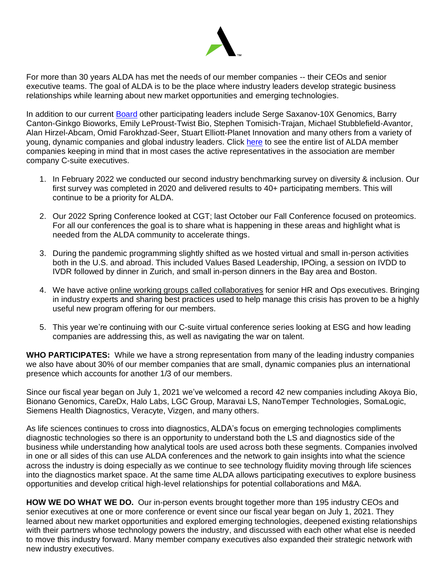

For more than 30 years ALDA has met the needs of our member companies -- their CEOs and senior executive teams. The goal of ALDA is to be the place where industry leaders develop strategic business relationships while learning about new market opportunities and emerging technologies.

In addition to our current [Board](https://thealda.org/about/officers-and-board-of-directors) other participating leaders include Serge Saxanov-10X Genomics, Barry Canton-Ginkgo Bioworks, Emily LeProust-Twist Bio, Stephen Tomisich-Trajan, Michael Stubblefield-Avantor, Alan Hirzel-Abcam, Omid Farokhzad-Seer, Stuart Elliott-Planet Innovation and many others from a variety of young, dynamic companies and global industry leaders. Click [here](https://thealda.org/membership/meet-our-members) to see the entire list of ALDA member companies keeping in mind that in most cases the active representatives in the association are member company C-suite executives.

- 1. In February 2022 we conducted our second industry benchmarking survey on diversity & inclusion. Our first survey was completed in 2020 and delivered results to 40+ participating members. This will continue to be a priority for ALDA.
- 2. Our 2022 Spring Conference looked at CGT; last October our Fall Conference focused on proteomics. For all our conferences the goal is to share what is happening in these areas and highlight what is needed from the ALDA community to accelerate things.
- 3. During the pandemic programming slightly shifted as we hosted virtual and small in-person activities both in the U.S. and abroad. This included Values Based Leadership, IPOing, a session on IVDD to IVDR followed by dinner in Zurich, and small in-person dinners in the Bay area and Boston.
- 4. We have active online working groups called collaboratives for senior HR and Ops executives. Bringing in industry experts and sharing best practices used to help manage this crisis has proven to be a highly useful new program offering for our members.
- 5. This year we're continuing with our C-suite virtual conference series looking at ESG and how leading companies are addressing this, as well as navigating the war on talent.

**WHO PARTICIPATES:** While we have a strong representation from many of the leading industry companies we also have about 30% of our member companies that are small, dynamic companies plus an international presence which accounts for another 1/3 of our members.

Since our fiscal year began on July 1, 2021 we've welcomed a record 42 new companies including Akoya Bio, Bionano Genomics, CareDx, Halo Labs, LGC Group, Maravai LS, NanoTemper Technologies, SomaLogic, Siemens Health Diagnostics, Veracyte, Vizgen, and many others.

As life sciences continues to cross into diagnostics, ALDA's focus on emerging technologies compliments diagnostic technologies so there is an opportunity to understand both the LS and diagnostics side of the business while understanding how analytical tools are used across both these segments. Companies involved in one or all sides of this can use ALDA conferences and the network to gain insights into what the science across the industry is doing especially as we continue to see technology fluidity moving through life sciences into the diagnostics market space. At the same time ALDA allows participating executives to explore business opportunities and develop critical high-level relationships for potential collaborations and M&A.

**HOW WE DO WHAT WE DO.** Our in-person events brought together more than 195 industry CEOs and senior executives at one or more conference or event since our fiscal year began on July 1, 2021. They learned about new market opportunities and explored emerging technologies, deepened existing relationships with their partners whose technology powers the industry, and discussed with each other what else is needed to move this industry forward. Many member company executives also expanded their strategic network with new industry executives.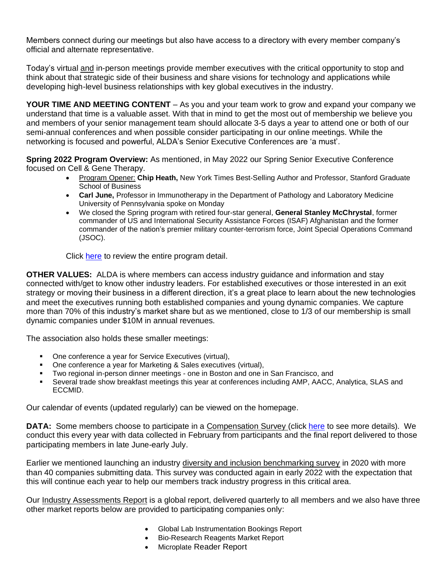Members connect during our meetings but also have access to a directory with every member company's official and alternate representative.

Today's virtual and in-person meetings provide member executives with the critical opportunity to stop and think about that strategic side of their business and share visions for technology and applications while developing high-level business relationships with key global executives in the industry.

**YOUR TIME AND MEETING CONTENT** – As you and your team work to grow and expand your company we understand that time is a valuable asset. With that in mind to get the most out of membership we believe you and members of your senior management team should allocate 3-5 days a year to attend one or both of our semi-annual conferences and when possible consider participating in our online meetings. While the networking is focused and powerful, ALDA's Senior Executive Conferences are 'a must'.

**Spring 2022 Program Overview:** As mentioned, in May 2022 our Spring Senior Executive Conference focused on Cell & Gene Therapy.

- Program Opener: **Chip Heath,** New York Times Best-Selling Author and Professor, Stanford Graduate School of Business
- **Carl June,** Professor in Immunotherapy in the Department of Pathology and Laboratory Medicine University of Pennsylvania spoke on Monday
- We closed the Spring program with retired four-star general, **General Stanley McChrystal**, former commander of US and International Security Assistance Forces (ISAF) Afghanistan and the former commander of the nation's premier military counter-terrorism force, Joint Special Operations Command (JSOC).

Click [here](https://thealda.org/2022-spring-sr-executive-conference/) to review the entire program detail.

**OTHER VALUES:** ALDA is where members can access industry guidance and information and stay connected with/get to know other industry leaders. For established executives or those interested in an exit strategy or moving their business in a different direction, it's a great place to learn about the new technologies and meet the executives running both established companies and young dynamic companies. We capture more than 70% of this industry's market share but as we mentioned, close to 1/3 of our membership is small dynamic companies under \$10M in annual revenues.

The association also holds these smaller meetings:

- One conference a year for Service Executives (virtual),
- One conference a year for Marketing & Sales executives (virtual),
- Two regional in-person dinner meetings one in Boston and one in San Francisco, and
- Several trade show breakfast meetings this year at conferences including AMP, AACC, Analytica, SLAS and ECCMID.

Our calendar of events (updated regularly) can be viewed on the homepage.

**DATA:** Some members choose to participate in a Compensation Survey (click [here](https://thealda.org/market-data/survey) to see more details). We conduct this every year with data collected in February from participants and the final report delivered to those participating members in late June-early July.

Earlier we mentioned launching an industry diversity and inclusion benchmarking survey in 2020 with more than 40 companies submitting data. This survey was conducted again in early 2022 with the expectation that this will continue each year to help our members track industry progress in this critical area.

Our Industry Assessments Report is a global report, delivered quarterly to all members and we also have three other market reports below are provided to participating companies only:

- Global Lab Instrumentation Bookings Report
- Bio-Research Reagents Market Report
- Microplate Reader Report